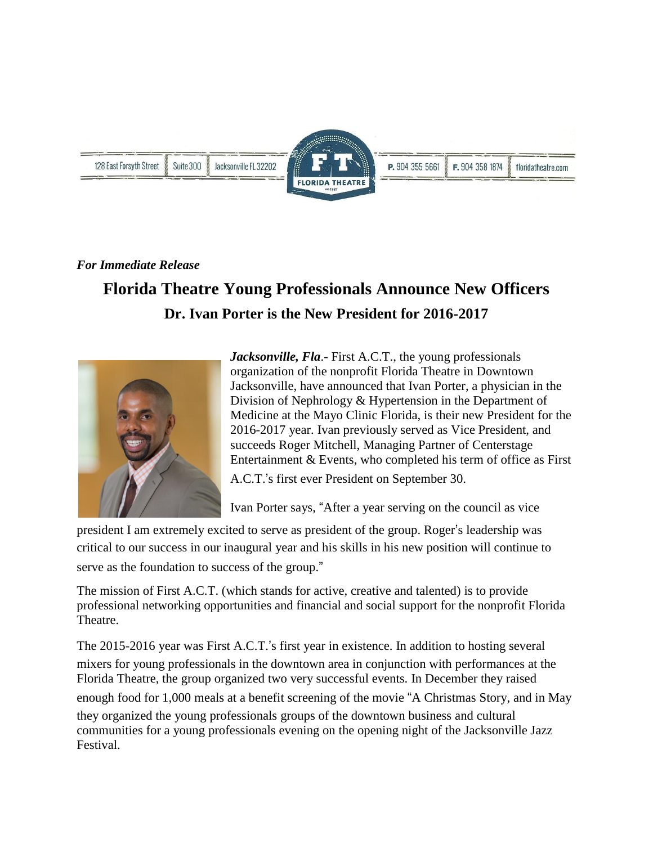

## *For Immediate Release*

## **Florida Theatre Young Professionals Announce New Officers Dr. Ivan Porter is the New President for 2016-2017**



*Jacksonville, Fla*.- First A.C.T., the young professionals organization of the nonprofit Florida Theatre in Downtown Jacksonville, have announced that Ivan Porter, a physician in the Division of Nephrology & Hypertension in the Department of Medicine at the Mayo Clinic Florida, is their new President for the 2016-2017 year. Ivan previously served as Vice President, and succeeds Roger Mitchell, Managing Partner of Centerstage Entertainment & Events, who completed his term of office as First

A.C.T.'s first ever President on September 30.

Ivan Porter says, "After a year serving on the council as vice

president I am extremely excited to serve as president of the group. Roger's leadership was critical to our success in our inaugural year and his skills in his new position will continue to serve as the foundation to success of the group."

The mission of First A.C.T. (which stands for active, creative and talented) is to provide professional networking opportunities and financial and social support for the nonprofit Florida Theatre.

The 2015-2016 year was First A.C.T.'s first year in existence. In addition to hosting several mixers for young professionals in the downtown area in conjunction with performances at the Florida Theatre, the group organized two very successful events. In December they raised enough food for 1,000 meals at a benefit screening of the movie "A Christmas Story, and in May they organized the young professionals groups of the downtown business and cultural communities for a young professionals evening on the opening night of the Jacksonville Jazz Festival.